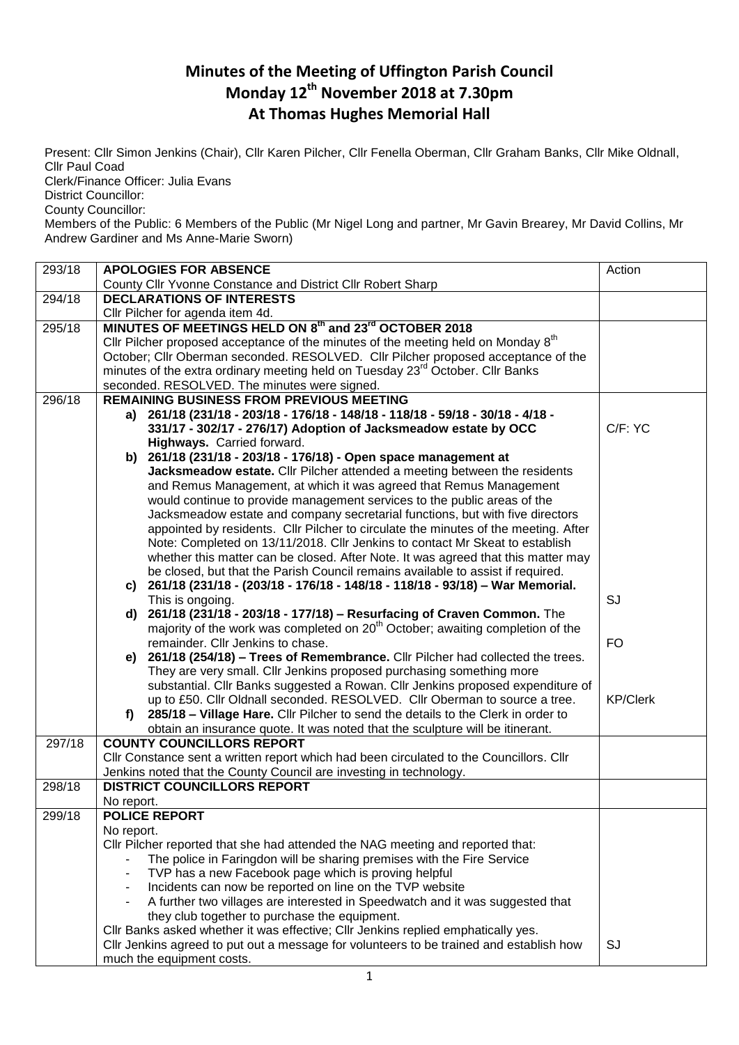## **Minutes of the Meeting of Uffington Parish Council Monday 12th November 2018 at 7.30pm At Thomas Hughes Memorial Hall**

Present: Cllr Simon Jenkins (Chair), Cllr Karen Pilcher, Cllr Fenella Oberman, Cllr Graham Banks, Cllr Mike Oldnall, Cllr Paul Coad

Clerk/Finance Officer: Julia Evans

District Councillor:

County Councillor:

Members of the Public: 6 Members of the Public (Mr Nigel Long and partner, Mr Gavin Brearey, Mr David Collins, Mr Andrew Gardiner and Ms Anne-Marie Sworn)

| 293/18 | <b>APOLOGIES FOR ABSENCE</b>                                                                  | Action          |
|--------|-----------------------------------------------------------------------------------------------|-----------------|
|        | County Cllr Yvonne Constance and District Cllr Robert Sharp                                   |                 |
| 294/18 | <b>DECLARATIONS OF INTERESTS</b>                                                              |                 |
|        | Cllr Pilcher for agenda item 4d.                                                              |                 |
| 295/18 | MINUTES OF MEETINGS HELD ON 8th and 23 <sup>rd</sup> OCTOBER 2018                             |                 |
|        | Cllr Pilcher proposed acceptance of the minutes of the meeting held on Monday 8 <sup>th</sup> |                 |
|        | October; Cllr Oberman seconded. RESOLVED. Cllr Pilcher proposed acceptance of the             |                 |
|        | minutes of the extra ordinary meeting held on Tuesday 23 <sup>rd</sup> October. Cllr Banks    |                 |
|        | seconded. RESOLVED. The minutes were signed.                                                  |                 |
| 296/18 | <b>REMAINING BUSINESS FROM PREVIOUS MEETING</b>                                               |                 |
|        | a) 261/18 (231/18 - 203/18 - 176/18 - 148/18 - 118/18 - 59/18 - 30/18 - 4/18 -                |                 |
|        | 331/17 - 302/17 - 276/17) Adoption of Jacksmeadow estate by OCC                               | C/F: YC         |
|        | Highways. Carried forward.                                                                    |                 |
|        | b) 261/18 (231/18 - 203/18 - 176/18) - Open space management at                               |                 |
|        | Jacksmeadow estate. Cllr Pilcher attended a meeting between the residents                     |                 |
|        | and Remus Management, at which it was agreed that Remus Management                            |                 |
|        | would continue to provide management services to the public areas of the                      |                 |
|        | Jacksmeadow estate and company secretarial functions, but with five directors                 |                 |
|        | appointed by residents. Cllr Pilcher to circulate the minutes of the meeting. After           |                 |
|        | Note: Completed on 13/11/2018. Cllr Jenkins to contact Mr Skeat to establish                  |                 |
|        | whether this matter can be closed. After Note. It was agreed that this matter may             |                 |
|        | be closed, but that the Parish Council remains available to assist if required.               |                 |
|        | c) 261/18 (231/18 - (203/18 - 176/18 - 148/18 - 118/18 - 93/18) - War Memorial.               |                 |
|        | This is ongoing.                                                                              | SJ              |
|        | 261/18 (231/18 - 203/18 - 177/18) - Resurfacing of Craven Common. The<br>d)                   |                 |
|        | majority of the work was completed on 20 <sup>th</sup> October; awaiting completion of the    |                 |
|        | remainder. Cllr Jenkins to chase.                                                             | <b>FO</b>       |
|        | e) 261/18 (254/18) - Trees of Remembrance. Cllr Pilcher had collected the trees.              |                 |
|        | They are very small. Cllr Jenkins proposed purchasing something more                          |                 |
|        | substantial. Cllr Banks suggested a Rowan. Cllr Jenkins proposed expenditure of               |                 |
|        | up to £50. Cllr Oldnall seconded. RESOLVED. Cllr Oberman to source a tree.                    | <b>KP/Clerk</b> |
|        | 285/18 - Village Hare. Cllr Pilcher to send the details to the Clerk in order to<br>f)        |                 |
|        | obtain an insurance quote. It was noted that the sculpture will be itinerant.                 |                 |
| 297/18 | <b>COUNTY COUNCILLORS REPORT</b>                                                              |                 |
|        | Cllr Constance sent a written report which had been circulated to the Councillors. Cllr       |                 |
|        | Jenkins noted that the County Council are investing in technology.                            |                 |
| 298/18 | <b>DISTRICT COUNCILLORS REPORT</b>                                                            |                 |
|        | No report.                                                                                    |                 |
| 299/18 | <b>POLICE REPORT</b>                                                                          |                 |
|        | No report.                                                                                    |                 |
|        | CIIr Pilcher reported that she had attended the NAG meeting and reported that:                |                 |
|        | The police in Faringdon will be sharing premises with the Fire Service                        |                 |
|        | TVP has a new Facebook page which is proving helpful                                          |                 |
|        | Incidents can now be reported on line on the TVP website                                      |                 |
|        | A further two villages are interested in Speedwatch and it was suggested that                 |                 |
|        | they club together to purchase the equipment.                                                 |                 |
|        | Cllr Banks asked whether it was effective; Cllr Jenkins replied emphatically yes.             |                 |
|        | Cllr Jenkins agreed to put out a message for volunteers to be trained and establish how       | SJ              |
|        | much the equipment costs.                                                                     |                 |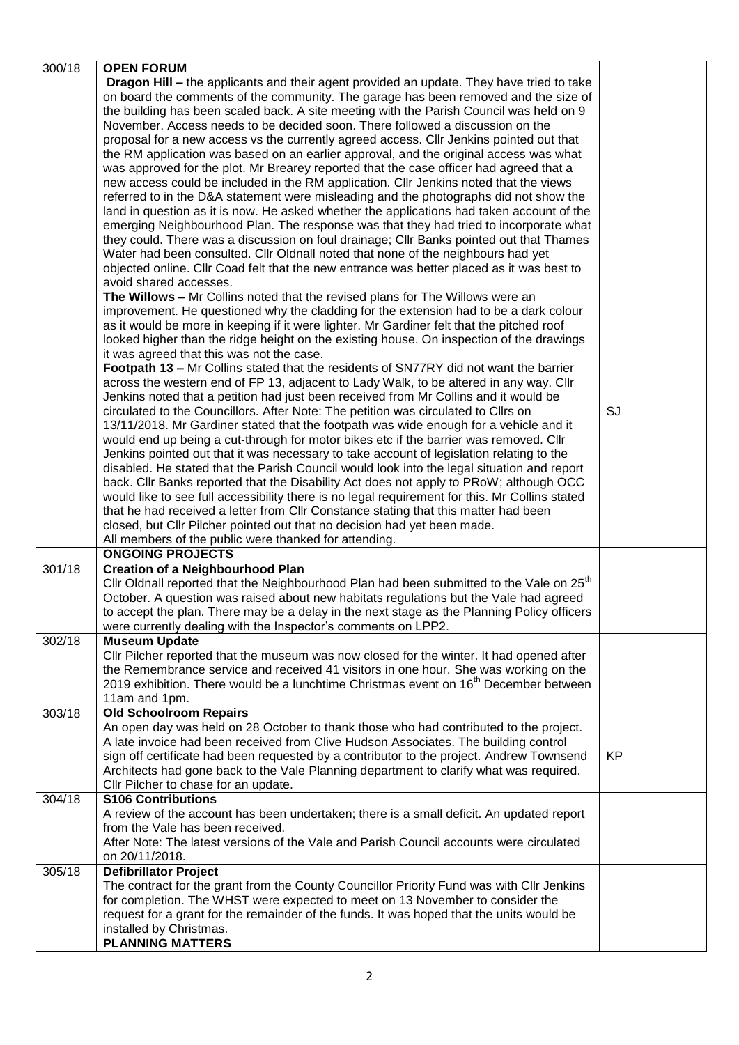| 300/18 | <b>OPEN FORUM</b>                                                                                    |           |
|--------|------------------------------------------------------------------------------------------------------|-----------|
|        | <b>Dragon Hill - the applicants and their agent provided an update. They have tried to take</b>      |           |
|        | on board the comments of the community. The garage has been removed and the size of                  |           |
|        | the building has been scaled back. A site meeting with the Parish Council was held on 9              |           |
|        | November. Access needs to be decided soon. There followed a discussion on the                        |           |
|        |                                                                                                      |           |
|        | proposal for a new access vs the currently agreed access. Cllr Jenkins pointed out that              |           |
|        | the RM application was based on an earlier approval, and the original access was what                |           |
|        | was approved for the plot. Mr Brearey reported that the case officer had agreed that a               |           |
|        | new access could be included in the RM application. Cllr Jenkins noted that the views                |           |
|        | referred to in the D&A statement were misleading and the photographs did not show the                |           |
|        | land in question as it is now. He asked whether the applications had taken account of the            |           |
|        |                                                                                                      |           |
|        | emerging Neighbourhood Plan. The response was that they had tried to incorporate what                |           |
|        | they could. There was a discussion on foul drainage; Cllr Banks pointed out that Thames              |           |
|        | Water had been consulted. Cllr Oldnall noted that none of the neighbours had yet                     |           |
|        | objected online. Cllr Coad felt that the new entrance was better placed as it was best to            |           |
|        | avoid shared accesses.                                                                               |           |
|        | The Willows - Mr Collins noted that the revised plans for The Willows were an                        |           |
|        |                                                                                                      |           |
|        | improvement. He questioned why the cladding for the extension had to be a dark colour                |           |
|        | as it would be more in keeping if it were lighter. Mr Gardiner felt that the pitched roof            |           |
|        | looked higher than the ridge height on the existing house. On inspection of the drawings             |           |
|        | it was agreed that this was not the case.                                                            |           |
|        | Footpath 13 - Mr Collins stated that the residents of SN77RY did not want the barrier                |           |
|        | across the western end of FP 13, adjacent to Lady Walk, to be altered in any way. Cllr               |           |
|        | Jenkins noted that a petition had just been received from Mr Collins and it would be                 |           |
|        |                                                                                                      |           |
|        | circulated to the Councillors. After Note: The petition was circulated to Cllrs on                   | <b>SJ</b> |
|        | 13/11/2018. Mr Gardiner stated that the footpath was wide enough for a vehicle and it                |           |
|        | would end up being a cut-through for motor bikes etc if the barrier was removed. Cllr                |           |
|        | Jenkins pointed out that it was necessary to take account of legislation relating to the             |           |
|        | disabled. He stated that the Parish Council would look into the legal situation and report           |           |
|        | back. Cllr Banks reported that the Disability Act does not apply to PRoW; although OCC               |           |
|        |                                                                                                      |           |
|        | would like to see full accessibility there is no legal requirement for this. Mr Collins stated       |           |
|        | that he had received a letter from Cllr Constance stating that this matter had been                  |           |
|        | closed, but Cllr Pilcher pointed out that no decision had yet been made.                             |           |
|        | All members of the public were thanked for attending.                                                |           |
|        | <b>ONGOING PROJECTS</b>                                                                              |           |
| 301/18 | <b>Creation of a Neighbourhood Plan</b>                                                              |           |
|        | Cllr Oldnall reported that the Neighbourhood Plan had been submitted to the Vale on 25 <sup>th</sup> |           |
|        |                                                                                                      |           |
|        | October. A question was raised about new habitats regulations but the Vale had agreed                |           |
|        | to accept the plan. There may be a delay in the next stage as the Planning Policy officers           |           |
|        | were currently dealing with the Inspector's comments on LPP2.                                        |           |
| 302/18 | <b>Museum Update</b>                                                                                 |           |
|        | Cllr Pilcher reported that the museum was now closed for the winter. It had opened after             |           |
|        | the Remembrance service and received 41 visitors in one hour. She was working on the                 |           |
|        | 2019 exhibition. There would be a lunchtime Christmas event on $16th$ December between               |           |
|        |                                                                                                      |           |
|        | 11am and 1pm.                                                                                        |           |
| 303/18 | <b>Old Schoolroom Repairs</b>                                                                        |           |
|        | An open day was held on 28 October to thank those who had contributed to the project.                |           |
|        | A late invoice had been received from Clive Hudson Associates. The building control                  |           |
|        | sign off certificate had been requested by a contributor to the project. Andrew Townsend             | <b>KP</b> |
|        | Architects had gone back to the Vale Planning department to clarify what was required.               |           |
|        | Cllr Pilcher to chase for an update.                                                                 |           |
|        |                                                                                                      |           |
| 304/18 | <b>S106 Contributions</b>                                                                            |           |
|        | A review of the account has been undertaken; there is a small deficit. An updated report             |           |
|        | from the Vale has been received.                                                                     |           |
|        | After Note: The latest versions of the Vale and Parish Council accounts were circulated              |           |
|        | on 20/11/2018.                                                                                       |           |
| 305/18 | <b>Defibrillator Project</b>                                                                         |           |
|        |                                                                                                      |           |
|        | The contract for the grant from the County Councillor Priority Fund was with Cllr Jenkins            |           |
|        | for completion. The WHST were expected to meet on 13 November to consider the                        |           |
|        | request for a grant for the remainder of the funds. It was hoped that the units would be             |           |
|        | installed by Christmas.                                                                              |           |
|        | <b>PLANNING MATTERS</b>                                                                              |           |
|        |                                                                                                      |           |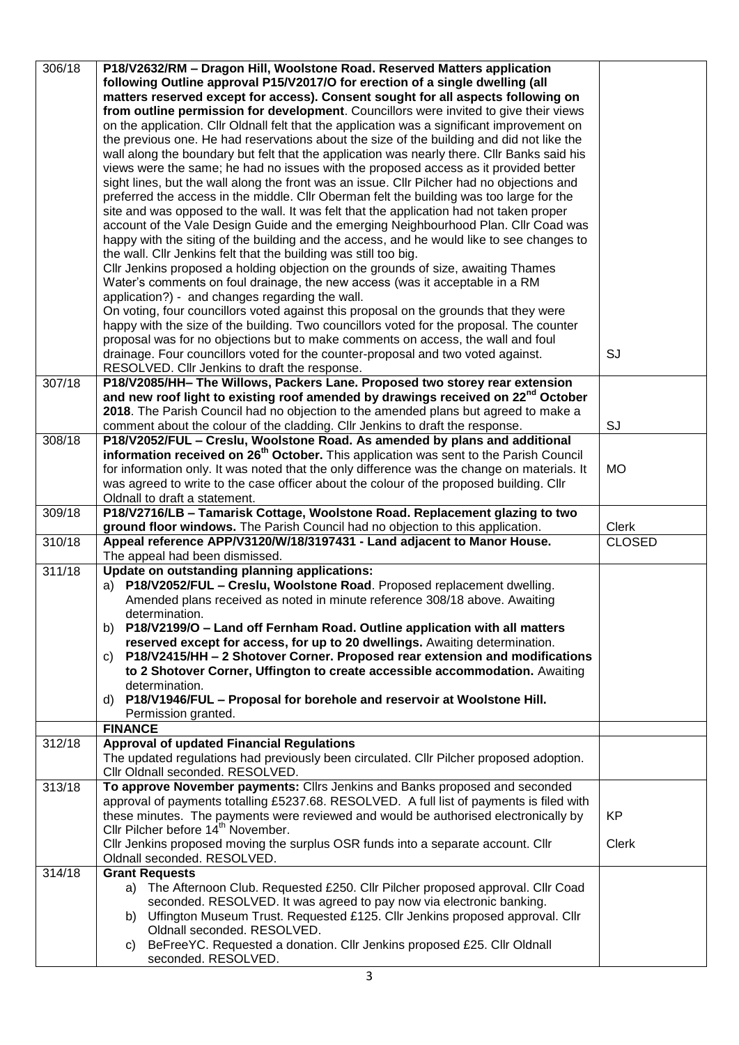| 306/18 | P18/V2632/RM - Dragon Hill, Woolstone Road. Reserved Matters application                          |               |
|--------|---------------------------------------------------------------------------------------------------|---------------|
|        |                                                                                                   |               |
|        | following Outline approval P15/V2017/O for erection of a single dwelling (all                     |               |
|        | matters reserved except for access). Consent sought for all aspects following on                  |               |
|        | from outline permission for development. Councillors were invited to give their views             |               |
|        | on the application. Cllr Oldnall felt that the application was a significant improvement on       |               |
|        | the previous one. He had reservations about the size of the building and did not like the         |               |
|        | wall along the boundary but felt that the application was nearly there. Cllr Banks said his       |               |
|        | views were the same; he had no issues with the proposed access as it provided better              |               |
|        | sight lines, but the wall along the front was an issue. Cllr Pilcher had no objections and        |               |
|        |                                                                                                   |               |
|        | preferred the access in the middle. Cllr Oberman felt the building was too large for the          |               |
|        | site and was opposed to the wall. It was felt that the application had not taken proper           |               |
|        | account of the Vale Design Guide and the emerging Neighbourhood Plan. Cllr Coad was               |               |
|        | happy with the siting of the building and the access, and he would like to see changes to         |               |
|        | the wall. Cllr Jenkins felt that the building was still too big.                                  |               |
|        | Cllr Jenkins proposed a holding objection on the grounds of size, awaiting Thames                 |               |
|        | Water's comments on foul drainage, the new access (was it acceptable in a RM                      |               |
|        | application?) - and changes regarding the wall.                                                   |               |
|        | On voting, four councillors voted against this proposal on the grounds that they were             |               |
|        | happy with the size of the building. Two councillors voted for the proposal. The counter          |               |
|        |                                                                                                   |               |
|        | proposal was for no objections but to make comments on access, the wall and foul                  |               |
|        | drainage. Four councillors voted for the counter-proposal and two voted against.                  | SJ            |
|        | RESOLVED. Cllr Jenkins to draft the response.                                                     |               |
| 307/18 | P18/V2085/HH- The Willows, Packers Lane. Proposed two storey rear extension                       |               |
|        | and new roof light to existing roof amended by drawings received on 22 <sup>nd</sup> October      |               |
|        | 2018. The Parish Council had no objection to the amended plans but agreed to make a               |               |
|        | comment about the colour of the cladding. Cllr Jenkins to draft the response.                     | SJ            |
| 308/18 | P18/V2052/FUL - Creslu, Woolstone Road. As amended by plans and additional                        |               |
|        | information received on 26 <sup>th</sup> October. This application was sent to the Parish Council |               |
|        | for information only. It was noted that the only difference was the change on materials. It       | <b>MO</b>     |
|        | was agreed to write to the case officer about the colour of the proposed building. Cllr           |               |
|        | Oldnall to draft a statement.                                                                     |               |
| 309/18 | P18/V2716/LB - Tamarisk Cottage, Woolstone Road. Replacement glazing to two                       |               |
|        |                                                                                                   |               |
|        |                                                                                                   |               |
|        | ground floor windows. The Parish Council had no objection to this application.                    | Clerk         |
| 310/18 | Appeal reference APP/V3120/W/18/3197431 - Land adjacent to Manor House.                           | <b>CLOSED</b> |
|        | The appeal had been dismissed.                                                                    |               |
| 311/18 | Update on outstanding planning applications:                                                      |               |
|        | a) P18/V2052/FUL - Creslu, Woolstone Road. Proposed replacement dwelling.                         |               |
|        | Amended plans received as noted in minute reference 308/18 above. Awaiting                        |               |
|        | determination.                                                                                    |               |
|        | P18/V2199/O - Land off Fernham Road. Outline application with all matters<br>b)                   |               |
|        | reserved except for access, for up to 20 dwellings. Awaiting determination.                       |               |
|        | P18/V2415/HH - 2 Shotover Corner. Proposed rear extension and modifications<br>C)                 |               |
|        | to 2 Shotover Corner, Uffington to create accessible accommodation. Awaiting                      |               |
|        | determination.                                                                                    |               |
|        | P18/V1946/FUL - Proposal for borehole and reservoir at Woolstone Hill.<br>d)                      |               |
|        | Permission granted.                                                                               |               |
|        | <b>FINANCE</b>                                                                                    |               |
| 312/18 | <b>Approval of updated Financial Regulations</b>                                                  |               |
|        | The updated regulations had previously been circulated. Cllr Pilcher proposed adoption.           |               |
|        | Cllr Oldnall seconded. RESOLVED.                                                                  |               |
| 313/18 | To approve November payments: Cllrs Jenkins and Banks proposed and seconded                       |               |
|        | approval of payments totalling £5237.68. RESOLVED. A full list of payments is filed with          |               |
|        | these minutes. The payments were reviewed and would be authorised electronically by               | KP            |
|        | Cllr Pilcher before 14 <sup>th</sup> November.                                                    |               |
|        | Cllr Jenkins proposed moving the surplus OSR funds into a separate account. Cllr                  | <b>Clerk</b>  |
|        | Oldnall seconded. RESOLVED.                                                                       |               |
| 314/18 | <b>Grant Requests</b>                                                                             |               |
|        | The Afternoon Club. Requested £250. Cllr Pilcher proposed approval. Cllr Coad<br>a)               |               |
|        | seconded. RESOLVED. It was agreed to pay now via electronic banking.                              |               |
|        | b) Uffington Museum Trust. Requested £125. Cllr Jenkins proposed approval. Cllr                   |               |
|        | Oldnall seconded. RESOLVED.                                                                       |               |
|        | BeFreeYC. Requested a donation. Cllr Jenkins proposed £25. Cllr Oldnall<br>C)                     |               |